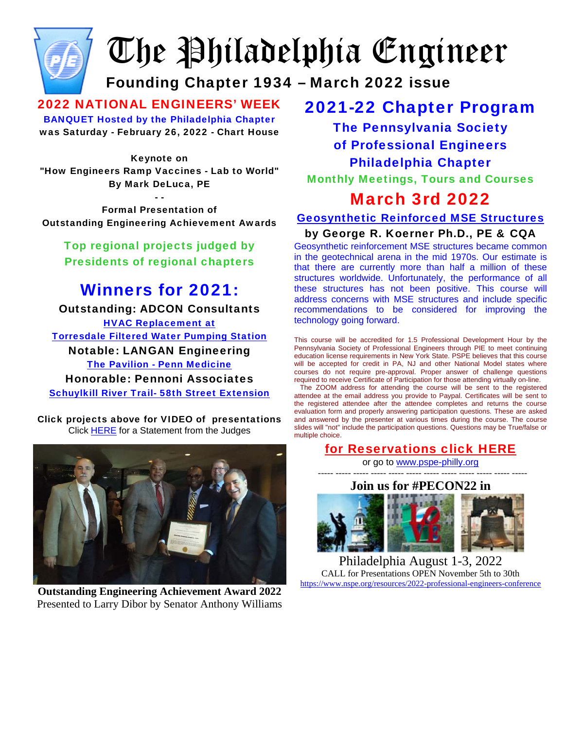

# The Philadelphia Engineer

## Founding Chapter 1934 – March 2022 issue

2022 NATIONAL ENGINEERS' WEEK BANQUET Hosted by the Philadelphia Chapter was Saturday - February 26, 2022 - Chart House

Keynote on

"How Engineers Ramp Vaccines - Lab to World" By Mark DeLuca, PE

- - Formal Presentation of Outstanding Engineering Achievement Awards

Top regional projects judged by Presidents of regional chapters

## Winners for 2021:

Outstanding: ADCON Consultants [HVAC Replacement at](http://www.pspe-philly.org/oea/2021OEA/TorresdalePumpingStation.mp4) [Torresdale Filtered Water Pumping Station](http://www.pspe-philly.org/oea/2021OEA/TorresdalePumpingStation.mp4) Notable: LANGAN Engineering [The Pavilion - Penn Medicine](http://www.pspe-philly.org/oea/2021OEA/Penn%20Medicine%20Pavilion%20PSPE%20Award%20Slides.mp4) Honorable: Pennoni Associates [Schuylkill River Trail- 58th Street Extension](https://pennoni1-my.sharepoint.com/:v:/g/personal/ldouthwaite_pennoni_com/EXNw5diO5tlJn43Mz2rVuNUB7kq7MsnY1BhPkHmzkIjY0A?e=UEdRBK)

Click projects above for VIDEO of presentations Click **HERE** for a Statement from the Judges



**Outstanding Engineering Achievement Award 2022**  Presented to Larry Dibor by Senator Anthony Williams

## 2021-22 Chapter Program

The Pennsylvania Society of Professional Engineers Philadelphia Chapter Monthly Meetings, Tours and Courses

## March 3rd 2022

[Geosynthetic Reinforced MSE Structures](http://pspe-philly.org/programs/flyer03mar22.pdf)

#### by George R. Koerner Ph.D., PE & CQA

Geosynthetic reinforcement MSE structures became common in the geotechnical arena in the mid 1970s. Our estimate is that there are currently more than half a million of these structures worldwide. Unfortunately, the performance of all these structures has not been positive. This course will address concerns with MSE structures and include specific recommendations to be considered for improving the technology going forward.

This course will be accredited for 1.5 Professional Development Hour by the Pennsylvania Society of Professional Engineers through PIE to meet continuing education license requirements in New York State. PSPE believes that this course will be accepted for credit in PA, NJ and other National Model states where courses do not require pre-approval. Proper answer of challenge questions required to receive Certificate of Participation for those attending virtually on-line.

 The ZOOM address for attending the course will be sent to the registered attendee at the email address you provide to Paypal. Certificates will be sent to the registered attendee after the attendee completes and returns the course evaluation form and properly answering participation questions. These are asked and answered by the presenter at various times during the course. The course slides will "not" include the participation questions. Questions may be True/false or multiple choice.

## [for Reservations click HERE](http://pspe-philly.org/#reservations)

or go to [www.pspe-philly.org](http://www.pspe-philly.org/) 

----- ----- ----- ----- ----- ----- ----- ----- ----- ----- ----- -----



Philadelphia August 1-3, 2022 CALL for Presentations OPEN November 5th to 30th <https://www.nspe.org/resources/2022-professional-engineers-conference>